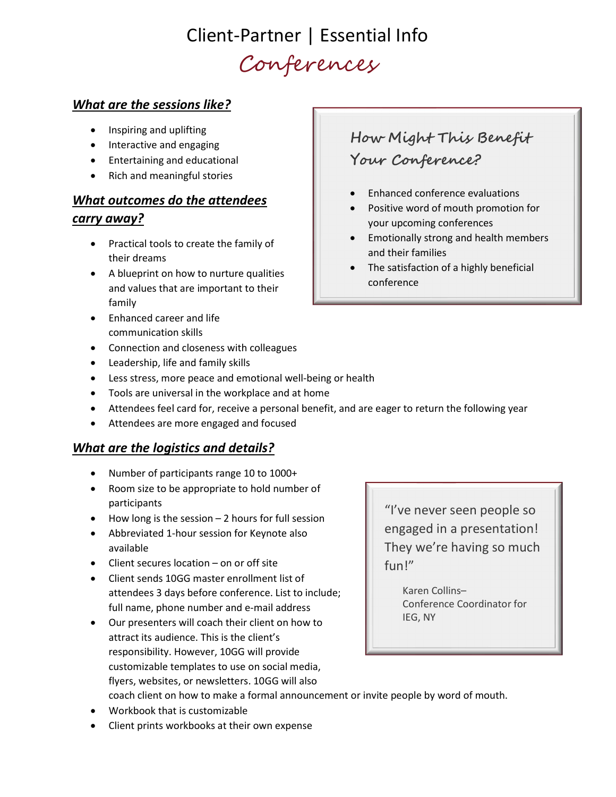## Client-Partner | Essential Info Conferences

### What are the sessions like?

- Inspiring and uplifting
- Interactive and engaging
- Entertaining and educational
- Rich and meaningful stories

### What outcomes do the attendees

#### carry away?

- Practical tools to create the family of their dreams
- A blueprint on how to nurture qualities and values that are important to their family
- Enhanced career and life communication skills
- Connection and closeness with colleagues
- Leadership, life and family skills
- Less stress, more peace and emotional well-being or health
- Tools are universal in the workplace and at home
- Attendees feel card for, receive a personal benefit, and are eager to return the following year
- Attendees are more engaged and focused

### What are the logistics and details?

- Number of participants range 10 to 1000+
- Room size to be appropriate to hold number of participants
- $\bullet$  How long is the session  $-$  2 hours for full session
- Abbreviated 1-hour session for Keynote also available
- Client secures location on or off site
- Client sends 10GG master enrollment list of attendees 3 days before conference. List to include; full name, phone number and e-mail address
- Our presenters will coach their client on how to attract its audience. This is the client's responsibility. However, 10GG will provide customizable templates to use on social media, flyers, websites, or newsletters. 10GG will also coach client on how to make a formal announcement or invite people by word of mouth.
- Workbook that is customizable
- Client prints workbooks at their own expense

### How Might This Benefit Your Conference?

- Enhanced conference evaluations
- Positive word of mouth promotion for your upcoming conferences
- **•** Emotionally strong and health members and their families
- The satisfaction of a highly beneficial conference

"I've never seen people so engaged in a presentation! They we're having so much fun!"

> Karen Collins– Conference Coordinator for IEG, NY